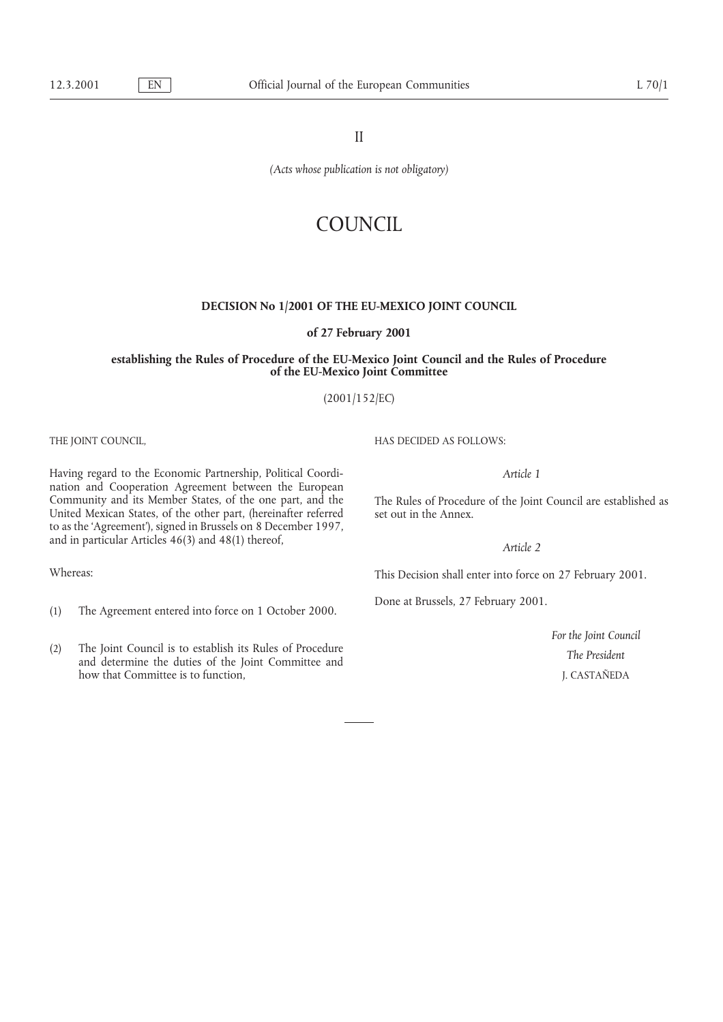II

*(Acts whose publication is not obligatory)*

# COUNCIL.

### **DECISION No 1/2001 OF THE EU-MEXICO JOINT COUNCIL**

**of 27 February 2001**

### **establishing the Rules of Procedure of the EU-Mexico Joint Council and the Rules of Procedure of the EU-Mexico Joint Committee**

(2001/152/EC)

Having regard to the Economic Partnership, Political Coordi- *Article 1* nation and Cooperation Agreement between the European<br>Community and its Member States, of the one part, and the United Mexican States, of the other part, (hereinafter referred set out in the Annex. to as the 'Agreement'), signed in Brussels on 8 December 1997, and in particular Articles 46(3) and 48(1) thereof, *Article 2* 

- Done at Brussels, 27 February 2001. (1) The Agreement entered into force on 1 October 2000.
- (2) The Joint Council is to establish its Rules of Procedure and actermine the duties of the Joint Committee and how that Committee is to function, **The President** J. CASTAÑEDA how that Committee is to function.

THE JOINT COUNCIL, THE JOINT COUNCIL,

The Rules of Procedure of the Joint Council are established as

Whereas: This Decision shall enter into force on 27 February 2001.

*For the Joint Council*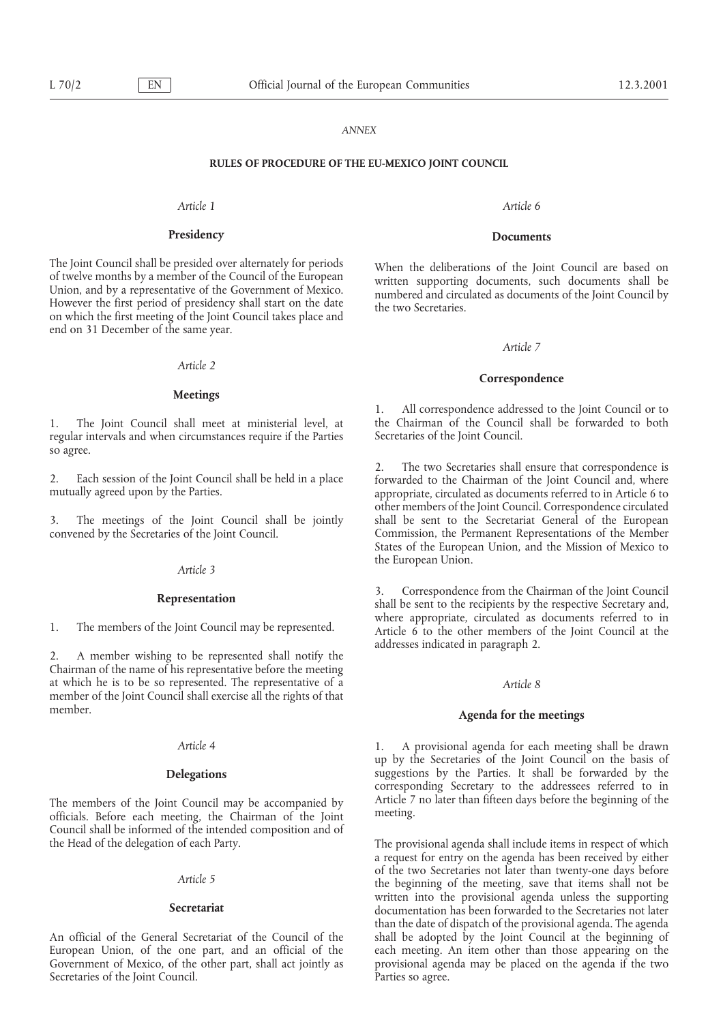### *ANNEX*

### **RULES OF PROCEDURE OF THE EU-MEXICO JOINT COUNCIL**

### *Article 1 Article 6*

### **Presidency Documents**

The Joint Council shall be presided over alternately for periods<br>of twelve months by a member of the Council of the European<br>Union, and by a representative of the Government of Mexico.<br>However the first period of presidenc end on 31 December of the same year.

### *Article 2*

### **Meetings**

1. The Joint Council shall meet at ministerial level, at the Chairman of the Council regular intervals and when circumstances require if the Parties Secretaries of the Joint Council. regular intervals and when circumstances require if the Parties so agree.

convened by the Secretaries of the Joint Council. Commission, the Permanent Representations of the Member

2. A member wishing to be represented shall notify the Chairman of the name of his representative before the meeting at which he is to be so represented. The representative of a *Article 8* member of the Joint Council shall exercise all the rights of that

The members of the Joint Council may be accompanied by Article 7 no later than fifteen days before the beginning of the officials. Before each meeting, the Chairman of the Joint meeting. Council shall be informed of the intended composition and of the Head of the delegation of each Party. The provisional agenda shall include items in respect of which

European Union, of the one part, and an official of the Government of Mexico, of the other part, shall act jointly as Secretaries of the Joint Council. The Parties so agree.

### *Article 7*

### **Correspondence**

1. All correspondence addressed to the Joint Council or to the Chairman of the Council shall be forwarded to both

2. The two Secretaries shall ensure that correspondence is<br>2. Each session of the Joint Council shall be held in a place<br>3. The two Secretaries shall ensure that correspondence is<br>3. The two Secretaries shall ensure that c other members of the Joint Council. Correspondence circulated 3. The meetings of the Joint Council shall be jointly shall be sent to the Secretariat General of the European States of the European Union, and the Mission of Mexico to the European Union. *Article 3*

**Representation** 3. Correspondence from the Chairman of the Joint Council shall be sent to the recipients by the respective Secretary and, where appropriate, circulated as documents referred to in 1. The members of the Joint Council may be represented. Article 6 to the other members of the Joint Council at the addresses indicated in paragraph 2.

### Agenda for the meetings

*Article 4* 1. A provisional agenda for each meeting shall be drawn up by the Secretaries of the Joint Council on the basis of **Delegations** suggestions by the Parties. It shall be forwarded by the corresponding Secretary to the addressees referred to in

a request for entry on the agenda has been received by either Article 5<br>the two Secretaries not later than twenty-one days before<br>the beginning of the meeting, save that items shall not be<br>written into the provisional agenda unless the supporting written into the provisional agenda unless the supporting **Secretariat** documentation has been forwarded to the Secretaries not later than the date of dispatch of the provisional agenda. The agenda An official of the General Secretariat of the Council of the shall be adopted by the Joint Council at the beginning of European Union, of the one part, and an official of the each meeting. An item other than those appearin provisional agenda may be placed on the agenda if the two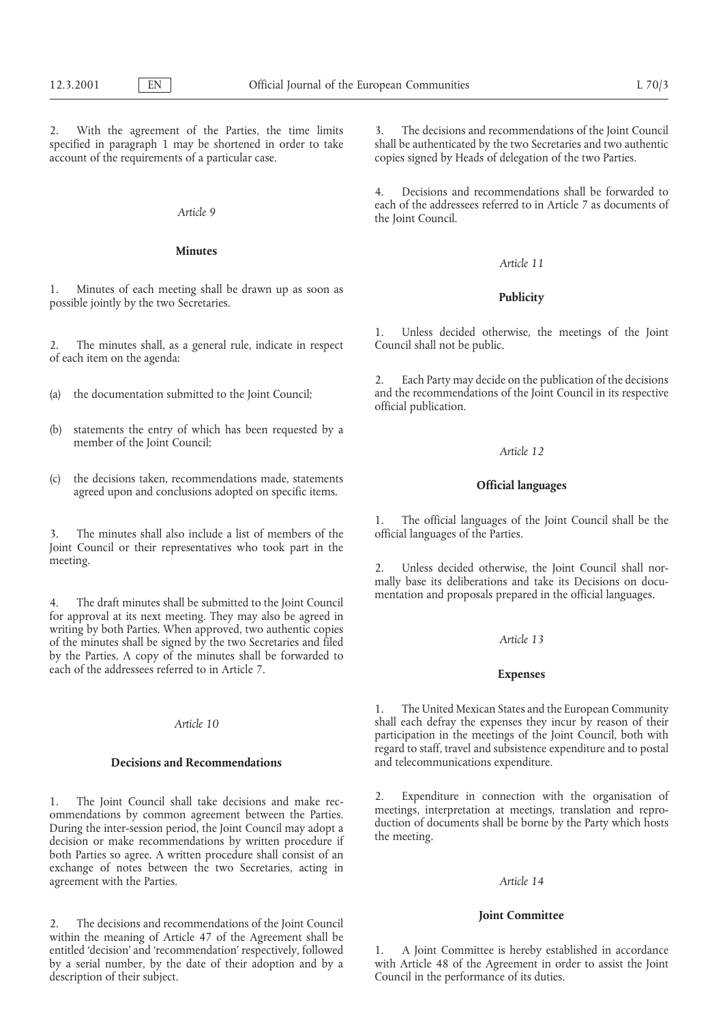2. With the agreement of the Parties, the time limits 3. The decisions and recommendations of the Joint Council specified in paragraph 1 may be shortened in order to take shall be authenticated by the two Secretaries and t specified in paragraph 1 may be shortened in order to take account of the requirements of a particular case.

### **Minutes**

1. Minutes of each meeting shall be drawn up as soon as **Publicity** possible jointly by the two Secretaries.

2. The minutes shall, as a general rule, indicate in respect of each item on the agenda:

- 
- (b) statements the entry of which has been requested by a member of the Joint Council; *Article 12*
- (c) the decisions taken, recommendations made, statements **Official languages** agreed upon and conclusions adopted on specific items.

3. The minutes shall also include a list of members of the Joint Council or their representatives who took part in the meeting. 2. Unless decided otherwise, the Joint Council shall nor-

4. The draft minutes shall be submitted to the Joint Council for approval at its next meeting. They may also be agreed in writing by both Parties. When approved, two authentic copies of the minutes shall be signed by the two Secretaries and filed *Article 13* by the Parties. A copy of the minutes shall be forwarded to each of the addressees referred to in Article 7. **Expenses**

both Parties so agree. A written procedure shall consist of an exchange of notes between the two Secretaries, acting in agreement with the Parties. *Article 14*

**Joint Committee** 2. The decisions and recommendations of the Joint Council within the meaning of Article 47 of the Agreement shall be entitled 'decision' and 'recommendation' respectively, followed 1. A Joint Committee is hereby established in accordance<br>by a serial number, by the date of their adoption and by a with Article 48 of the Agreement in order by a serial number, by the date of their adoption and by a with Article 48 of the Agreement in order to assist the Joint description of their subject.

copies signed by Heads of delegation of the two Parties.

4. Decisions and recommendations shall be forwarded to each of the addressees referred to in Article 7 as documents of *the Joint Council*.

### *Article 11*

1. Unless decided otherwise, the meetings of the Joint

2. Each Party may decide on the publication of the decisions (a) the documentation submitted to the Joint Council; and the recommendations of the Joint Council in its respective official publication.

1. The official languages of the Joint Council shall be the

mally base its deliberations and take its Decisions on docu-<br>mentation and proposals prepared in the official languages.

1. The United Mexican States and the European Community *Article 10* shall each defray the expenses they incur by reason of their participation in the meetings of the Joint Council, both with regard to staff, travel and subsistence expenditure and to postal **Decisions and Recommendations** and telecommunications expenditure.

1. The Joint Council shall take decisions and make rec-<br>
2. Expenditure in connection with the organisation of<br>
ommendations by common agreement between the Parties.<br>
During the inter-session period, the Joint Council may

Council in the performance of its duties.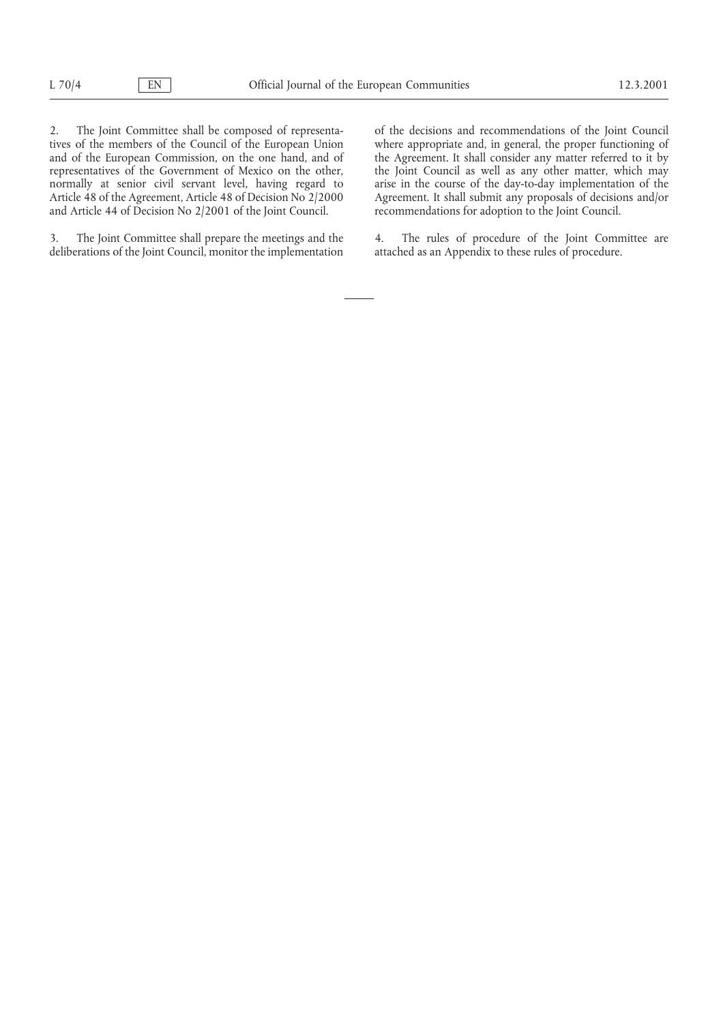2. The Joint Committee shall be composed of representa-<br>tives of the members of the Council of the European Union<br>where appropriate and, in general, the proper functioning of tives of the members of the Council of the European Union where appropriate and, in general, the proper functioning of and of the European Commission, on the one hand, and of the Agreement. It shall consider any matter ref and of the European Commission, on the one hand, and of the Agreement. It shall consider any matter referred to it by representatives of the Government of Mexico on the other, the Joint Council as well as any other matter, representatives of the Government of Mexico on the other, the Joint Council as well as any other matter, which may normally at senior civil servant level, having regard to arise in the course of the day-to-day implementation of the Article 48 of the Agreement, Article 48 of Decision No 2/2000<br>
Article 48 of the Agreement, Article 48 of Decision No 2/2000<br>
Agreement. It shall submit any proposals of decisions and/or<br>
and Article 44 of Decision No 2/20 and Article 44 of Decision No 2/2001 of the Joint Council.

3. The Joint Committee shall prepare the meetings and the 4. The rules of procedure of the Joint Committee are deliberations of the Joint Council, monitor the implementation attached as an Appendix to these rules of proced deliberations of the Joint Council, monitor the implementation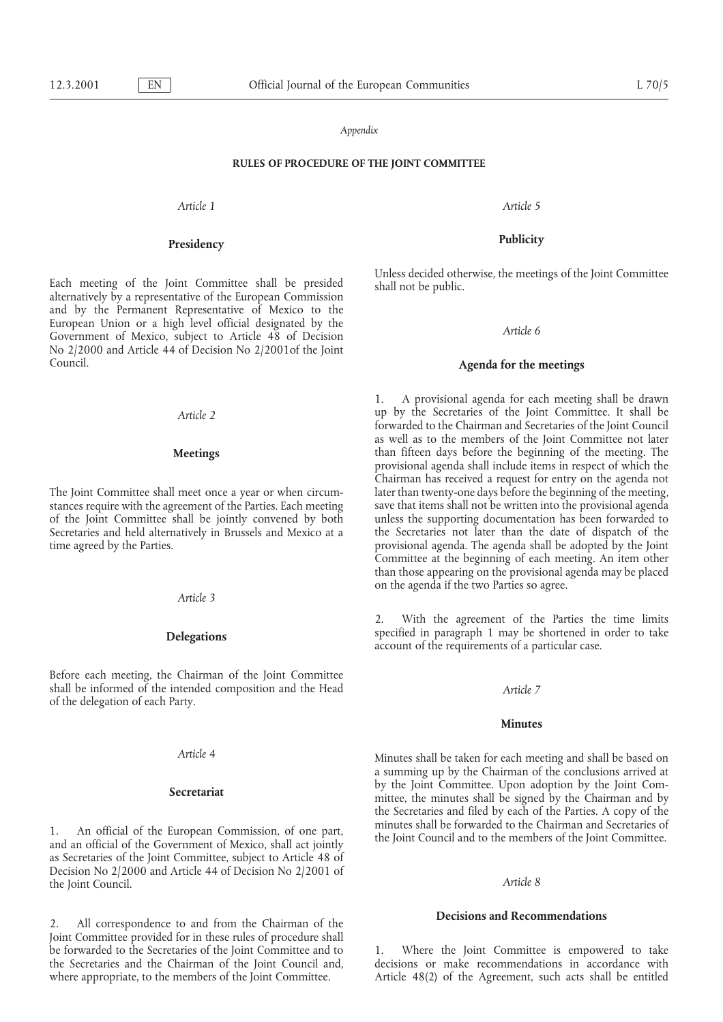### *Appendix*

### **RULES OF PROCEDURE OF THE JOINT COMMITTEE**

*Article 1 Article 5*

## **Publicity Presidency**

and by the Permanent Representative of Mexico to the European Union or a high level official designated by the *Article 6* Government of Mexico, subject to Article 48 of Decision No 2/2000 and Article 44 of Decision No 2/2001of the Joint Council. **Agenda for the meetings**

stances require with the agreement of the Parties. Each meeting save that items shall not be written into the provisional agenda<br>of the Joint Committee shall be jointly convened by both unless the supporting documentation of the Joint Committee shall be jointly convened by both Secretaries and held alternatively in Brussels and Mexico at a

### *Article 3*

Before each meeting, the Chairman of the Joint Committee shall be informed of the intended composition and the Head *Article 7* of the delegation of each Party.

as Secretaries of the Joint Committee, subject to Article 48 of Decision No 2/2000 and Article 44 of Decision No 2/2001 of the Joint Council. *Article 8*

**Decisions and Recommendations** 2. All correspondence to and from the Chairman of the Joint Committee provided for in these rules of procedure shall be forwarded to the Secretaries of the Joint Committee and to 1. Where the Joint Committee is empowered to take

Each meeting of the Joint Committee shall be presided shall not be public.<br>alternatively by a representative of the European Commission

1. A provisional agenda for each meeting shall be drawn *Article 2* up by the Secretaries of the Joint Committee. It shall be forwarded to the Chairman and Secretaries of the Joint Council as well as to the members of the Joint Committee not later **Meetings** than fifteen days before the beginning of the meeting. The provisional agenda shall include items in respect of which the Chairman has received a request for entry on the agenda not The Joint Committee shall meet once a year or when circum-<br>stances require with the agreement of the Parties. Each meeting save that items shall not be written into the provisional agenda the Secretaries not later than the date of dispatch of the time agreed by the Parties.  $\sim$  provisional agenda. The agenda shall be adopted by the Joint Committee at the beginning of each meeting. An item other than those appearing on the provisional agenda may be placed on the agenda if the two Parties so agree.

> With the agreement of the Parties the time limits **Delegations** specified in paragraph 1 may be shortened in order to take account of the requirements of a particular case.

### **Minutes**

*Article 4* Minutes shall be taken for each meeting and shall be based on a summing up by the Chairman of the conclusions arrived at by the Joint Committee. Upon adoption by the Joint Com- **Secretariat** mittee, the minutes shall be signed by the Chairman and by the Secretaries and filed by each of the Parties. A copy of the 1. An official of the European Commission, of one part,<br>and an official of the Government of Mexico, shall act jointly<br>the Joint Council and to the members of the Joint Committee.

the Secretaries and the Chairman of the Joint Council and, decisions or make recommendations in accordance with where appropriate, to the members of the Joint Committee. Article 48(2) of the Agreement, such acts shall be entitled